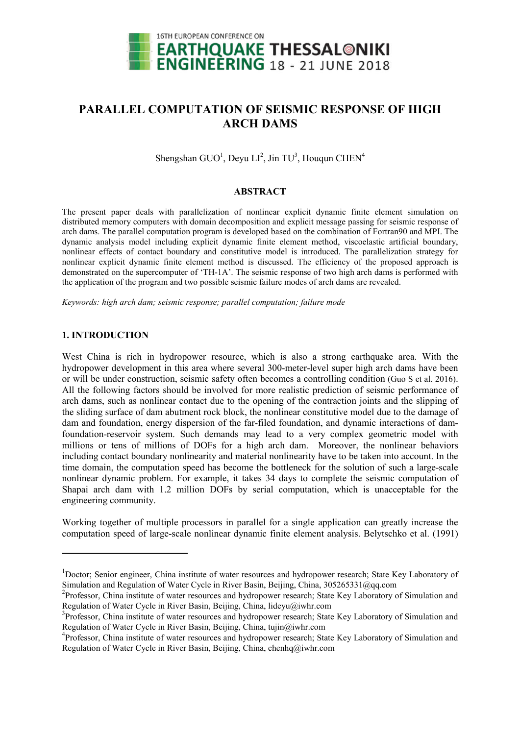

# **PARALLEL COMPUTATION OF SEISMIC RESPONSE OF HIGH ARCH DAMS**

Shengshan  $GUO<sup>1</sup>$ , Deyu  $LI<sup>2</sup>$ , Jin TU<sup>3</sup>, Houqun CHEN<sup>4</sup>

#### **ABSTRACT**

The present paper deals with parallelization of nonlinear explicit dynamic finite element simulation on distributed memory computers with domain decomposition and explicit message passing for seismic response of arch dams. The parallel computation program is developed based on the combination of Fortran90 and MPI. The dynamic analysis model including explicit dynamic finite element method, viscoelastic artificial boundary, nonlinear effects of contact boundary and constitutive model is introduced. The parallelization strategy for nonlinear explicit dynamic finite element method is discussed. The efficiency of the proposed approach is demonstrated on the supercomputer of 'TH-1A'. The seismic response of two high arch dams is performed with the application of the program and two possible seismic failure modes of arch dams are revealed.

*Keywords: high arch dam; seismic response; parallel computation; failure mode*

### **1. INTRODUCTION**

 $\overline{a}$ 

West China is rich in hydropower resource, which is also a strong earthquake area. With the hydropower development in this area where several 300-meter-level super high arch dams have been or will be under construction, seismic safety often becomes a controlling condition (Guo S et al. 2016). All the following factors should be involved for more realistic prediction of seismic performance of arch dams, such as nonlinear contact due to the opening of the contraction joints and the slipping of the sliding surface of dam abutment rock block, the nonlinear constitutive model due to the damage of dam and foundation, energy dispersion of the far-filed foundation, and dynamic interactions of damfoundation-reservoir system. Such demands may lead to a very complex geometric model with millions or tens of millions of DOFs for a high arch dam. Moreover, the nonlinear behaviors including contact boundary nonlinearity and material nonlinearity have to be taken into account. In the time domain, the computation speed has become the bottleneck for the solution of such a large-scale nonlinear dynamic problem. For example, it takes 34 days to complete the seismic computation of Shapai arch dam with 1.2 million DOFs by serial computation, which is unacceptable for the engineering community.

Working together of multiple processors in parallel for a single application can greatly increase the computation speed of large-scale nonlinear dynamic finite element analysis. Belytschko et al. (1991)

<sup>&</sup>lt;sup>1</sup>Doctor; Senior engineer, China institute of water resources and hydropower research; State Key Laboratory of Simulation and Regulation of Water Cycle in River Basin, Beijing, China, 305265331@qq.com

<sup>&</sup>lt;sup>2</sup>Professor, China institute of water resources and hydropower research; State Key Laboratory of Simulation and Regulation of Water Cycle in River Basin, Beijing, China, lideyu@iwhr.com

<sup>&</sup>lt;sup>3</sup>Professor, China institute of water resources and hydropower research; State Key Laboratory of Simulation and Regulation of Water Cycle in River Basin, Beijing, China, tujin@iwhr.com

<sup>&</sup>lt;sup>4</sup>Professor, China institute of water resources and hydropower research; State Key Laboratory of Simulation and Regulation of Water Cycle in River Basin, Beijing, China, chenhq@iwhr.com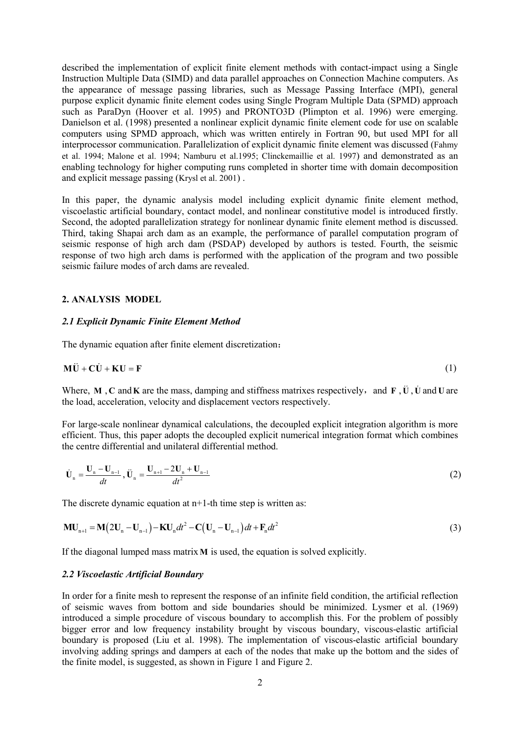described the implementation of explicit finite element methods with contact-impact using a Single Instruction Multiple Data (SIMD) and data parallel approaches on Connection Machine computers. As the appearance of message passing libraries, such as Message Passing Interface (MPI), general purpose explicit dynamic finite element codes using Single Program Multiple Data (SPMD) approach such as ParaDyn (Hoover et al. 1995) and PRONTO3D (Plimpton et al. 1996) were emerging. Danielson et al. (1998) presented a nonlinear explicit dynamic finite element code for use on scalable computers using SPMD approach, which was written entirely in Fortran 90, but used MPI for all interprocessor communication. Parallelization of explicit dynamic finite element was discussed (Fahmy et al. 1994; Malone et al. 1994; Namburu et al.1995; Clinckemaillie et al. 1997) and demonstrated as an enabling technology for higher computing runs completed in shorter time with domain decomposition and explicit message passing (Krysl et al. 2001) .

In this paper, the dynamic analysis model including explicit dynamic finite element method, viscoelastic artificial boundary, contact model, and nonlinear constitutive model is introduced firstly. Second, the adopted parallelization strategy for nonlinear dynamic finite element method is discussed. Third, taking Shapai arch dam as an example, the performance of parallel computation program of seismic response of high arch dam (PSDAP) developed by authors is tested. Fourth, the seismic response of two high arch dams is performed with the application of the program and two possible seismic failure modes of arch dams are revealed.

#### **2. ANALYSIS MODEL**

### *2.1 Explicit Dynamic Finite Element Method*

The dynamic equation after finite element discretization:

$$
\mathbf{M}\ddot{\mathbf{U}} + \mathbf{C}\dot{\mathbf{U}} + \mathbf{K}\mathbf{U} = \mathbf{F} \tag{1}
$$

Where,  $M$ ,  $C$  and  $K$  are the mass, damping and stiffness matrixes respectively, and  $F$ ,  $\ddot{U}$ ,  $\dot{U}$  and  $U$  are the load, acceleration, velocity and displacement vectors respectively.

For large-scale nonlinear dynamical calculations, the decoupled explicit integration algorithm is more efficient. Thus, this paper adopts the decoupled explicit numerical integration format which combines the centre differential and unilateral differential method.

$$
\dot{\mathbf{U}}_{n} = \frac{\mathbf{U}_{n} - \mathbf{U}_{n-1}}{dt}, \ddot{\mathbf{U}}_{n} = \frac{\mathbf{U}_{n+1} - 2\mathbf{U}_{n} + \mathbf{U}_{n-1}}{dt^{2}}
$$
\n(2)

The discrete dynamic equation at  $n+1$ -th time step is written as:

$$
MU_{n+1} = M(2U_n - U_{n-1}) - KU_n dt^2 - C(U_n - U_{n-1}) dt + F_n dt^2
$$
\n(3)

If the diagonal lumped mass matrix**M** is used, the equation is solved explicitly.

#### *2.2 Viscoelastic Artificial Boundary*

In order for a finite mesh to represent the response of an infinite field condition, the artificial reflection of seismic waves from bottom and side boundaries should be minimized. Lysmer et al. (1969) introduced a simple procedure of viscous boundary to accomplish this. For the problem of possibly bigger error and low frequency instability brought by viscous boundary, viscous-elastic artificial boundary is proposed (Liu et al. 1998). The implementation of viscous-elastic artificial boundary involving adding springs and dampers at each of the nodes that make up the bottom and the sides of the finite model, is suggested, as shown in Figure 1 and Figure 2.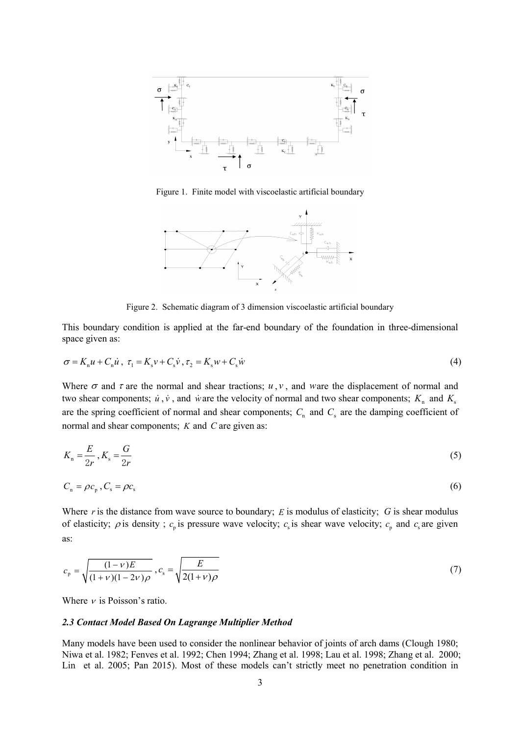

Figure 1. Finite model with viscoelastic artificial boundary



Figure 2. Schematic diagram of 3 dimension viscoelastic artificial boundary

This boundary condition is applied at the far-end boundary of the foundation in three-dimensional space given as:

$$
\sigma = K_{n}u + C_{n}\dot{u}, \ \tau_{1} = K_{s}v + C_{s}\dot{v}, \tau_{2} = K_{s}w + C_{s}\dot{w}
$$
\n(4)

Where  $\sigma$  and  $\tau$  are the normal and shear tractions;  $u, v$ , and ware the displacement of normal and two shear components;  $\dot{u}$ ,  $\dot{v}$ , and  $\dot{w}$  are the velocity of normal and two shear components;  $K_n$  and  $K_s$ are the spring coefficient of normal and shear components;  $C_n$  and  $C_s$  are the damping coefficient of normal and shear components; *K* and *C* are given as:

$$
K_{\rm n} = \frac{E}{2r}, K_{\rm s} = \frac{G}{2r} \tag{5}
$$

$$
C_{\rm n} = \rho c_{\rm p}^{\phantom{\dagger}}, C_{\rm s} = \rho c_{\rm s}^{\phantom{\dagger}} \tag{6}
$$

Where *r* is the distance from wave source to boundary; *E* is modulus of elasticity; *G* is shear modulus of elasticity;  $\rho$  is density;  $c_p$  is pressure wave velocity;  $c_s$  is shear wave velocity;  $c_p$  and  $c_s$  are given as:

$$
c_{\rm p} = \sqrt{\frac{(1-\nu)E}{(1+\nu)(1-2\nu)\rho}}, c_{\rm s} = \sqrt{\frac{E}{2(1+\nu)\rho}}
$$
(7)

Where  $\nu$  is Poisson's ratio.

#### *2.3 Contact Model Based On Lagrange Multiplier Method*

Many models have been used to consider the nonlinear behavior of joints of arch dams (Clough 1980; Niwa et al. 1982; Fenves et al. 1992; Chen 1994; Zhang et al. 1998; Lau et al. 1998; Zhang et al. 2000; Lin et al. 2005; Pan 2015). Most of these models can't strictly meet no penetration condition in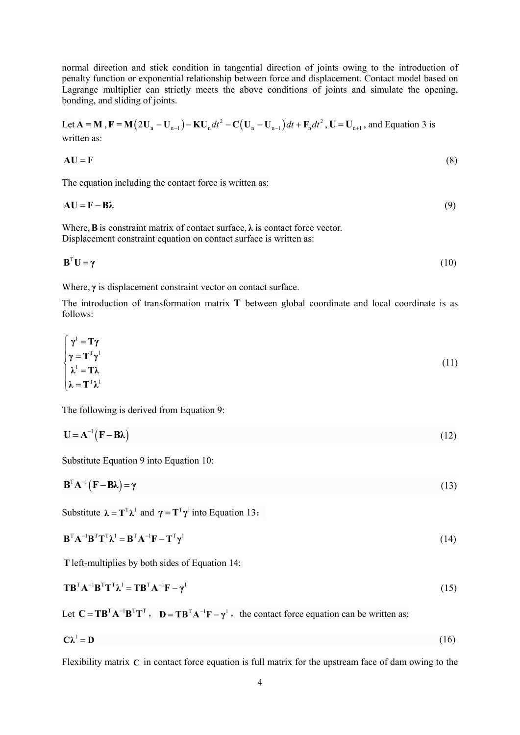normal direction and stick condition in tangential direction of joints owing to the introduction of penalty function or exponential relationship between force and displacement. Contact model based on Lagrange multiplier can strictly meets the above conditions of joints and simulate the opening, bonding, and sliding of joints.

Let  $A = M$ ,  $F = M(2U_n - U_{n-1}) - KU_n dt^2 - C(U_n - U_{n-1}) dt + F_n dt^2$ ,  $U = U_{n+1}$ , and Equation 3 is written as:

$$
AU = F \tag{8}
$$

The equation including the contact force is written as:

 $A U = F - B \lambda$  (9)

Where, **B** is constraint matrix of contact surface,  $\lambda$  is contact force vector. Displacement constraint equation on contact surface is written as:

$$
\mathbf{B}^{\mathrm{T}}\mathbf{U} = \gamma \tag{10}
$$

Where, **γ** is displacement constraint vector on contact surface.

The introduction of transformation matrix **T** between global coordinate and local coordinate is as follows:

$$
\begin{cases}\n\gamma^1 = T\gamma \\
\gamma = T^T \gamma^1 \\
\lambda^1 = T\lambda \\
\lambda = T^T \lambda^1\n\end{cases}
$$
\n(11)

The following is derived from Equation 9:

$$
\mathbf{U} = \mathbf{A}^{-1} (\mathbf{F} - \mathbf{B}\boldsymbol{\lambda}) \tag{12}
$$

Substitute Equation 9 into Equation 10:

$$
\mathbf{B}^{\mathrm{T}}\mathbf{A}^{-1}(\mathbf{F}-\mathbf{B}\lambda) = \gamma \tag{13}
$$

Substitute  $\lambda = \mathbf{T}^T \lambda^T$  and  $\gamma = \mathbf{T}^T \gamma^T$  into Equation 13:

$$
\mathbf{B}^{\mathrm{T}} \mathbf{A}^{-1} \mathbf{B}^{\mathrm{T}} \mathbf{T}^{\mathrm{T}} \lambda^{\mathrm{l}} = \mathbf{B}^{\mathrm{T}} \mathbf{A}^{-1} \mathbf{F} - \mathbf{T}^{\mathrm{T}} \gamma^{\mathrm{l}} \tag{14}
$$

**T**left-multiplies by both sides of Equation 14:

$$
\mathbf{T}\mathbf{B}^{\mathrm{T}}\mathbf{A}^{-1}\mathbf{B}^{\mathrm{T}}\mathbf{T}^{\mathrm{T}}\boldsymbol{\lambda}^{1} = \mathbf{T}\mathbf{B}^{\mathrm{T}}\mathbf{A}^{-1}\mathbf{F} - \boldsymbol{\gamma}^{1}
$$
\n(15)

Let  $C = T B^T A^{-1} B^T T^T$ ,  $D = T B^T A^{-1} F - \gamma^T$ , the contact force equation can be written as:

$$
C\lambda^1 = D \tag{16}
$$

Flexibility matrix **C** in contact force equation is full matrix for the upstream face of dam owing to the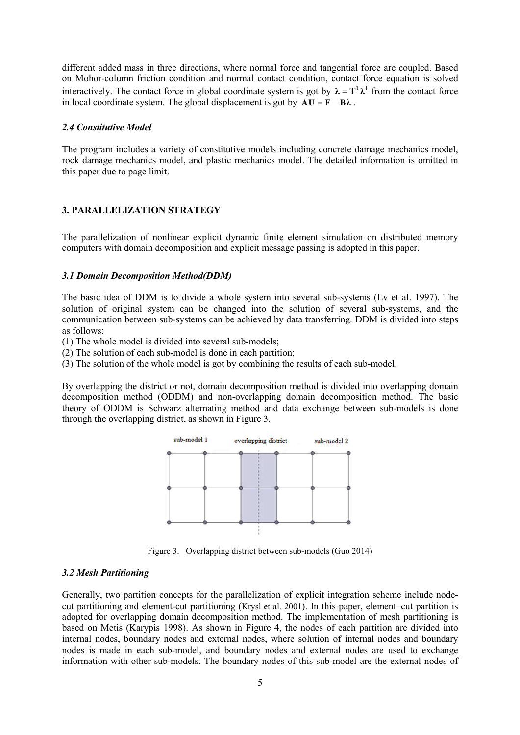different added mass in three directions, where normal force and tangential force are coupled. Based on Mohor-column friction condition and normal contact condition, contact force equation is solved interactively. The contact force in global coordinate system is got by  $\lambda = \mathbf{T}^T \lambda^T$  from the contact force in local coordinate system. The global displacement is got by  $\mathbf{A} \mathbf{U} = \mathbf{F} - \mathbf{B} \lambda$ .

#### *2.4 Constitutive Model*

The program includes a variety of constitutive models including concrete damage mechanics model, rock damage mechanics model, and plastic mechanics model. The detailed information is omitted in this paper due to page limit.

### **3. PARALLELIZATION STRATEGY**

The parallelization of nonlinear explicit dynamic finite element simulation on distributed memory computers with domain decomposition and explicit message passing is adopted in this paper.

### *3.1 Domain Decomposition Method(DDM)*

The basic idea of DDM is to divide a whole system into several sub-systems (Lv et al. 1997). The solution of original system can be changed into the solution of several sub-systems, and the communication between sub-systems can be achieved by data transferring. DDM is divided into steps as follows:

(1) The whole model is divided into several sub-models;

(2) The solution of each sub-model is done in each partition;

(3) The solution of the whole model is got by combining the results of each sub-model.

By overlapping the district or not, domain decomposition method is divided into overlapping domain decomposition method (ODDM) and non-overlapping domain decomposition method. The basic theory of ODDM is Schwarz alternating method and data exchange between sub-models is done through the overlapping district, as shown in Figure 3.



Figure 3. Overlapping district between sub-models (Guo 2014)

### *3.2 Mesh Partitioning*

Generally, two partition concepts for the parallelization of explicit integration scheme include nodecut partitioning and element-cut partitioning (Krysl et al. 2001). In this paper, element–cut partition is adopted for overlapping domain decomposition method. The implementation of mesh partitioning is based on Metis (Karypis 1998). As shown in Figure 4, the nodes of each partition are divided into internal nodes, boundary nodes and external nodes, where solution of internal nodes and boundary nodes is made in each sub-model, and boundary nodes and external nodes are used to exchange information with other sub-models. The boundary nodes of this sub-model are the external nodes of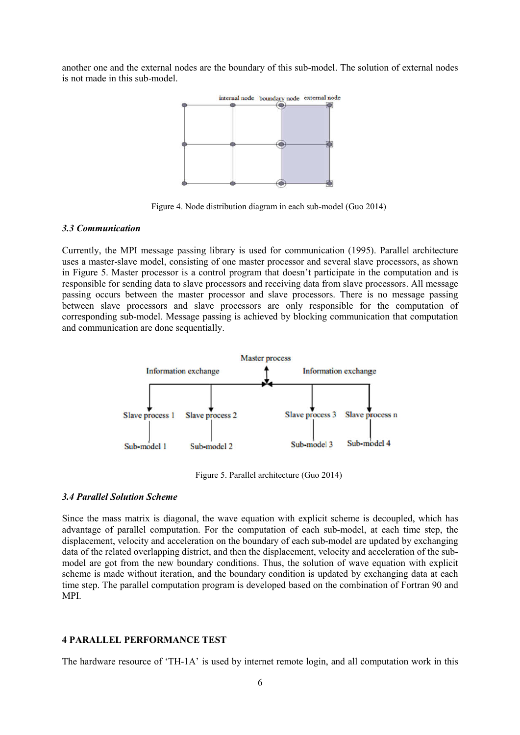another one and the external nodes are the boundary of this sub-model. The solution of external nodes is not made in this sub-model.



Figure 4. Node distribution diagram in each sub-model (Guo 2014)

#### *3.3 Communication*

Currently, the MPI message passing library is used for communication (1995). Parallel architecture uses a master-slave model, consisting of one master processor and several slave processors, as shown in Figure 5. Master processor is a control program that doesn't participate in the computation and is responsible for sending data to slave processors and receiving data from slave processors. All message passing occurs between the master processor and slave processors. There is no message passing between slave processors and slave processors are only responsible for the computation of corresponding sub-model. Message passing is achieved by blocking communication that computation and communication are done sequentially.



Figure 5. Parallel architecture (Guo 2014)

### *3.4 Parallel Solution Scheme*

Since the mass matrix is diagonal, the wave equation with explicit scheme is decoupled, which has advantage of parallel computation. For the computation of each sub-model, at each time step, the displacement, velocity and acceleration on the boundary of each sub-model are updated by exchanging data of the related overlapping district, and then the displacement, velocity and acceleration of the submodel are got from the new boundary conditions. Thus, the solution of wave equation with explicit scheme is made without iteration, and the boundary condition is updated by exchanging data at each time step. The parallel computation program is developed based on the combination of Fortran 90 and MPI.

#### **4 PARALLEL PERFORMANCE TEST**

The hardware resource of 'TH-1A' is used by internet remote login, and all computation work in this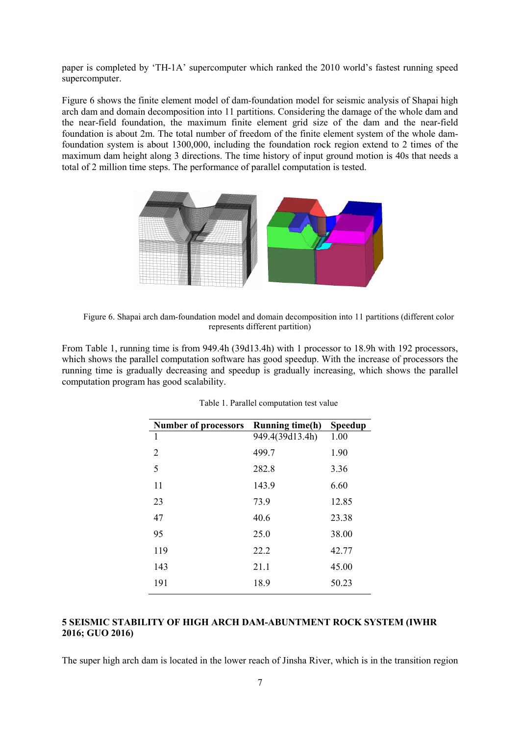paper is completed by 'TH-1A' supercomputer which ranked the 2010 world's fastest running speed supercomputer.

Figure 6 shows the finite element model of dam-foundation model for seismic analysis of Shapai high arch dam and domain decomposition into 11 partitions. Considering the damage of the whole dam and the near-field foundation, the maximum finite element grid size of the dam and the near-field foundation is about 2m. The total number of freedom of the finite element system of the whole damfoundation system is about 1300,000, including the foundation rock region extend to 2 times of the maximum dam height along 3 directions. The time history of input ground motion is 40s that needs a total of 2 million time steps. The performance of parallel computation is tested.



Figure 6. Shapai arch dam-foundation model and domain decomposition into 11 partitions (different color represents different partition)

From Table 1, running time is from 949.4h (39d13.4h) with 1 processor to 18.9h with 192 processors, which shows the parallel computation software has good speedup. With the increase of processors the running time is gradually decreasing and speedup is gradually increasing, which shows the parallel computation program has good scalability.

| <b>Number of processors</b> | <b>Running time(h)</b> | <b>Speedup</b> |
|-----------------------------|------------------------|----------------|
| 1                           | 949.4(39d13.4h)        | 1.00           |
| 2                           | 499.7                  | 1.90           |
| 5                           | 282.8                  | 3.36           |
| 11                          | 143.9                  | 6.60           |
| 23                          | 73.9                   | 12.85          |
| 47                          | 40.6                   | 23.38          |
| 95                          | 25.0                   | 38.00          |
| 119                         | 22.2                   | 42.77          |
| 143                         | 21.1                   | 45.00          |
| 191                         | 18.9                   | 50.23          |

| Table 1. Parallel computation test value |  |  |  |  |  |
|------------------------------------------|--|--|--|--|--|
|------------------------------------------|--|--|--|--|--|

## **5 SEISMIC STABILITY OF HIGH ARCH DAM-ABUNTMENT ROCK SYSTEM (IWHR 2016; GUO 2016)**

The super high arch dam is located in the lower reach of Jinsha River, which is in the transition region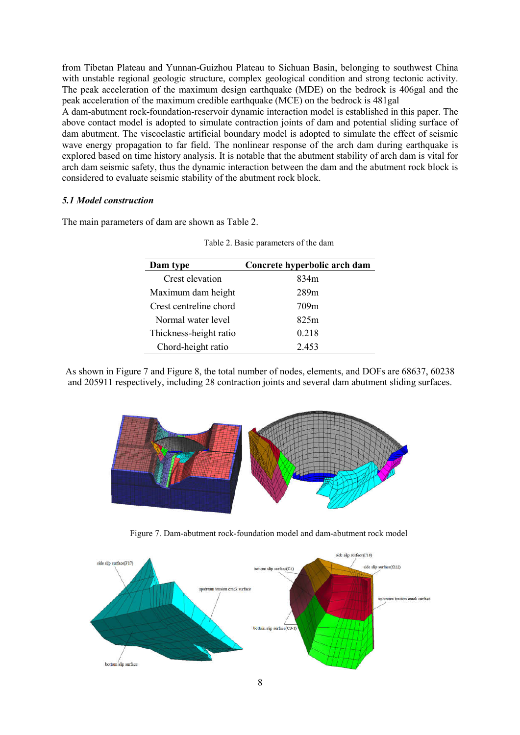from Tibetan Plateau and Yunnan-Guizhou Plateau to Sichuan Basin, belonging to southwest China with unstable regional geologic structure, complex geological condition and strong tectonic activity. The peak acceleration of the maximum design earthquake (MDE) on the bedrock is 406gal and the peak acceleration of the maximum credible earthquake (MCE) on the bedrock is 481gal

A dam-abutment rock-foundation-reservoir dynamic interaction model is established in this paper. The above contact model is adopted to simulate contraction joints of dam and potential sliding surface of dam abutment. The viscoelastic artificial boundary model is adopted to simulate the effect of seismic wave energy propagation to far field. The nonlinear response of the arch dam during earthquake is explored based on time history analysis. It is notable that the abutment stability of arch dam is vital for arch dam seismic safety, thus the dynamic interaction between the dam and the abutment rock block is considered to evaluate seismic stability of the abutment rock block.

### *5.1 Model construction*

The main parameters of dam are shown as Table 2.

| Dam type               | Concrete hyperbolic arch dam |
|------------------------|------------------------------|
| Crest elevation        | 834m                         |
| Maximum dam height     | 289m                         |
| Crest centreline chord | 709m                         |
| Normal water level     | 825m                         |
| Thickness-height ratio | 0.218                        |
| Chord-height ratio     | 2.453                        |

As shown in Figure 7 and Figure 8, the total number of nodes, elements, and DOFs are 68637, 60238 and 205911 respectively, including 28 contraction joints and several dam abutment sliding surfaces.



Figure 7. Dam-abutment rock-foundation model and dam-abutment rock model

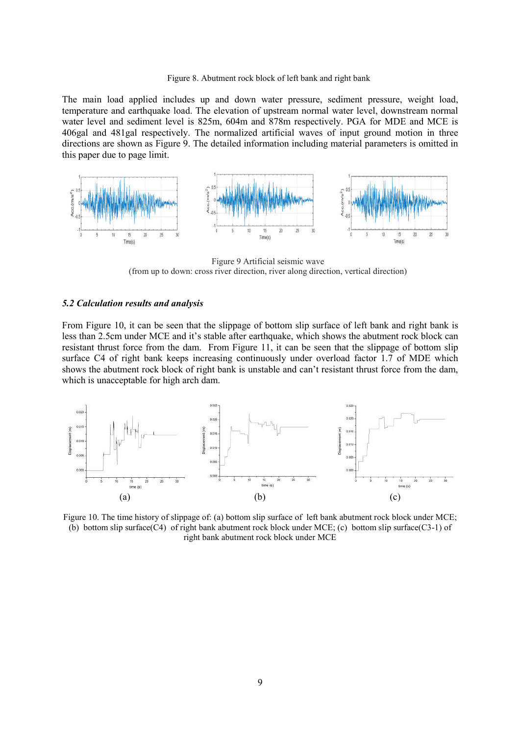#### Figure 8. Abutment rock block of left bank and right bank

The main load applied includes up and down water pressure, sediment pressure, weight load, temperature and earthquake load. The elevation of upstream normal water level, downstream normal water level and sediment level is 825m, 604m and 878m respectively. PGA for MDE and MCE is 406gal and 481gal respectively. The normalized artificial waves of input ground motion in three directions are shown as Figure 9. The detailed information including material parameters is omitted in this paper due to page limit.



Figure 9 Artificial seismic wave (from up to down: cross river direction, river along direction, vertical direction)

#### *5.2 Calculation results and analysis*

From Figure 10, it can be seen that the slippage of bottom slip surface of left bank and right bank is less than 2.5cm under MCE and it's stable after earthquake, which shows the abutment rock block can resistant thrust force from the dam. From Figure 11, it can be seen that the slippage of bottom slip surface C4 of right bank keeps increasing continuously under overload factor 1.7 of MDE which shows the abutment rock block of right bank is unstable and can't resistant thrust force from the dam, which is unacceptable for high arch dam.



Figure 10. The time history of slippage of: (a) bottom slip surface of left bank abutment rock block under MCE; (b) bottom slip surface(C4) of right bank abutment rock block under MCE; (c) bottom slip surface(C3-1) of right bank abutment rock block under MCE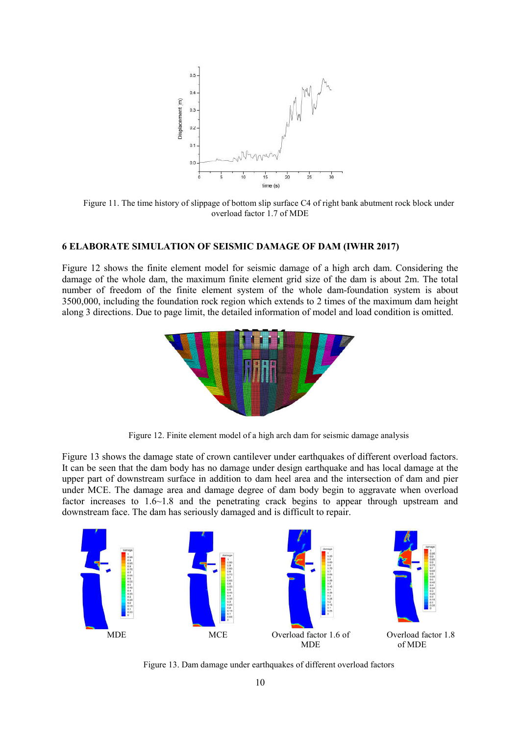

Figure 11. The time history of slippage of bottom slip surface C4 of right bank abutment rock block under overload factor 1.7 of MDE

### **6 ELABORATE SIMULATION OF SEISMIC DAMAGE OF DAM (IWHR 2017)**

Figure 12 shows the finite element model for seismic damage of a high arch dam. Considering the damage of the whole dam, the maximum finite element grid size of the dam is about 2m. The total number of freedom of the finite element system of the whole dam-foundation system is about 3500,000, including the foundation rock region which extends to 2 times of the maximum dam height along 3 directions. Due to page limit, the detailed information of model and load condition is omitted.



Figure 12. Finite element model of a high arch dam for seismic damage analysis

Figure 13 shows the damage state of crown cantilever under earthquakes of different overload factors. It can be seen that the dam body has no damage under design earthquake and has local damage at the upper part of downstream surface in addition to dam heel area and the intersection of dam and pier under MCE. The damage area and damage degree of dam body begin to aggravate when overload factor increases to  $1.6~1.8$  and the penetrating crack begins to appear through upstream and downstream face. The dam has seriously damaged and is difficult to repair.



Figure 13. Dam damage under earthquakes of different overload factors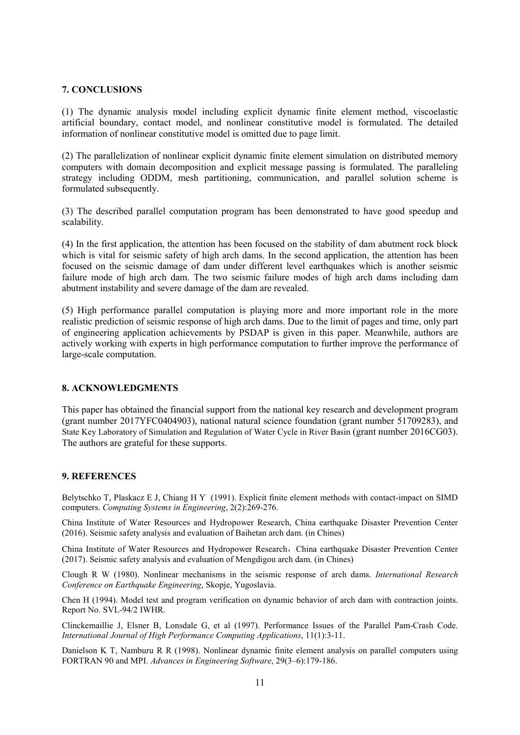### **7. CONCLUSIONS**

(1) The dynamic analysis model including explicit dynamic finite element method, viscoelastic artificial boundary, contact model, and nonlinear constitutive model is formulated. The detailed information of nonlinear constitutive model is omitted due to page limit.

(2) The parallelization of nonlinear explicit dynamic finite element simulation on distributed memory computers with domain decomposition and explicit message passing is formulated. The paralleling strategy including ODDM, mesh partitioning, communication, and parallel solution scheme is formulated subsequently.

(3) The described parallel computation program has been demonstrated to have good speedup and scalability.

(4) In the first application, the attention has been focused on the stability of dam abutment rock block which is vital for seismic safety of high arch dams. In the second application, the attention has been focused on the seismic damage of dam under different level earthquakes which is another seismic failure mode of high arch dam. The two seismic failure modes of high arch dams including dam abutment instability and severe damage of the dam are revealed.

(5) High performance parallel computation is playing more and more important role in the more realistic prediction of seismic response of high arch dams. Due to the limit of pages and time, only part of engineering application achievements by PSDAP is given in this paper. Meanwhile, authors are actively working with experts in high performance computation to further improve the performance of large-scale computation.

### **8. ACKNOWLEDGMENTS**

This paper has obtained the financial support from the national key research and development program (grant number 2017YFC0404903), national natural science foundation (grant number 51709283), and State Key Laboratory of Simulation and Regulation of Water Cycle in River Basin (grant number 2016CG03). The authors are grateful for these supports.

#### **9. REFERENCES**

Belytschko T, Plaskacz E J, Chiang H Y (1991). Explicit finite element methods with contact-impact on SIMD computers. *Computing Systems in Engineering*, 2(2):269-276.

China Institute of Water Resources and Hydropower Research, China earthquake Disaster Prevention Center (2016). Seismic safety analysis and evaluation of Baihetan arch dam. (in Chines)

China Institute of Water Resources and Hydropower Research,China earthquake Disaster Prevention Center (2017). Seismic safety analysis and evaluation of Mengdigou arch dam. (in Chines)

Clough R W (1980). Nonlinear mechanisms in the seismic response of arch dams. *International Research Conference on Earthquake Engineering*, Skopje, Yugoslavia.

Chen H (1994). Model test and program verification on dynamic behavior of arch dam with contraction joints. Report No. SVL-94/2 IWHR.

Clinckemaillie J, Elsner B, Lonsdale G, et al (1997). Performance Issues of the Parallel Pam-Crash Code. *International Journal of High Performance Computing Applications*, 11(1):3-11.

Danielson K T, Namburu R R (1998). Nonlinear dynamic finite element analysis on parallel computers using FORTRAN 90 and MPI. *Advances in Engineering Software*, 29(3–6):179-186.